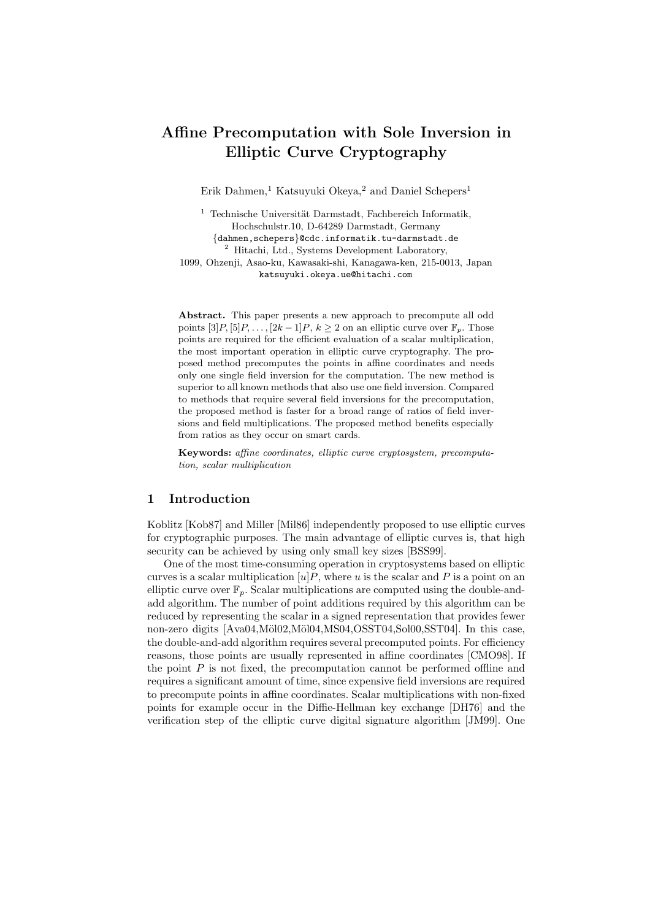# Affine Precomputation with Sole Inversion in Elliptic Curve Cryptography

Erik Dahmen,<sup>1</sup> Katsuyuki Okeya,<sup>2</sup> and Daniel Schepers<sup>1</sup>

 $1$  Technische Universität Darmstadt, Fachbereich Informatik, Hochschulstr.10, D-64289 Darmstadt, Germany {dahmen,schepers}@cdc.informatik.tu-darmstadt.de <sup>2</sup> Hitachi, Ltd., Systems Development Laboratory, 1099, Ohzenji, Asao-ku, Kawasaki-shi, Kanagawa-ken, 215-0013, Japan katsuyuki.okeya.ue@hitachi.com

Abstract. This paper presents a new approach to precompute all odd points  $[3]P$ ,  $[5]P$ , ...,  $[2k-1]P$ ,  $k \ge 2$  on an elliptic curve over  $\mathbb{F}_p$ . Those points are required for the efficient evaluation of a scalar multiplication, the most important operation in elliptic curve cryptography. The proposed method precomputes the points in affine coordinates and needs only one single field inversion for the computation. The new method is superior to all known methods that also use one field inversion. Compared to methods that require several field inversions for the precomputation, the proposed method is faster for a broad range of ratios of field inversions and field multiplications. The proposed method benefits especially from ratios as they occur on smart cards.

Keywords: affine coordinates, elliptic curve cryptosystem, precomputation, scalar multiplication

#### 1 Introduction

Koblitz [Kob87] and Miller [Mil86] independently proposed to use elliptic curves for cryptographic purposes. The main advantage of elliptic curves is, that high security can be achieved by using only small key sizes [BSS99].

One of the most time-consuming operation in cryptosystems based on elliptic curves is a scalar multiplication  $[u]P$ , where u is the scalar and P is a point on an elliptic curve over  $\mathbb{F}_p$ . Scalar multiplications are computed using the double-andadd algorithm. The number of point additions required by this algorithm can be reduced by representing the scalar in a signed representation that provides fewer non-zero digits [Ava04,Möl02,Möl04,MS04,OSST04,Sol00,SST04]. In this case, the double-and-add algorithm requires several precomputed points. For efficiency reasons, those points are usually represented in affine coordinates [CMO98]. If the point  $P$  is not fixed, the precomputation cannot be performed offline and requires a significant amount of time, since expensive field inversions are required to precompute points in affine coordinates. Scalar multiplications with non-fixed points for example occur in the Diffie-Hellman key exchange [DH76] and the verification step of the elliptic curve digital signature algorithm [JM99]. One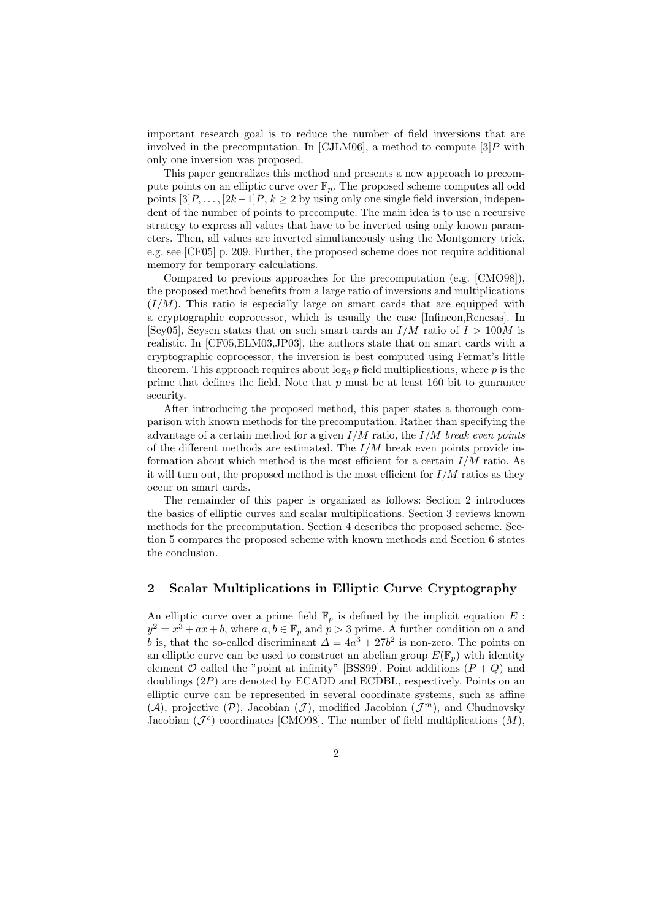important research goal is to reduce the number of field inversions that are involved in the precomputation. In [CJLM06], a method to compute  $|3|P$  with only one inversion was proposed.

This paper generalizes this method and presents a new approach to precompute points on an elliptic curve over  $\mathbb{F}_p$ . The proposed scheme computes all odd points  $[3]P, \ldots, [2k-1]P, k \ge 2$  by using only one single field inversion, independent of the number of points to precompute. The main idea is to use a recursive strategy to express all values that have to be inverted using only known parameters. Then, all values are inverted simultaneously using the Montgomery trick, e.g. see [CF05] p. 209. Further, the proposed scheme does not require additional memory for temporary calculations.

Compared to previous approaches for the precomputation (e.g. [CMO98]), the proposed method benefits from a large ratio of inversions and multiplications  $(I/M)$ . This ratio is especially large on smart cards that are equipped with a cryptographic coprocessor, which is usually the case [Infineon,Renesas]. In [Sey05], Seysen states that on such smart cards an  $I/M$  ratio of  $I > 100M$  is realistic. In [CF05,ELM03,JP03], the authors state that on smart cards with a cryptographic coprocessor, the inversion is best computed using Fermat's little theorem. This approach requires about  $\log_2 p$  field multiplications, where p is the prime that defines the field. Note that  $p$  must be at least 160 bit to guarantee security.

After introducing the proposed method, this paper states a thorough comparison with known methods for the precomputation. Rather than specifying the advantage of a certain method for a given  $I/M$  ratio, the  $I/M$  break even points of the different methods are estimated. The  $I/M$  break even points provide information about which method is the most efficient for a certain  $I/M$  ratio. As it will turn out, the proposed method is the most efficient for  $I/M$  ratios as they occur on smart cards.

The remainder of this paper is organized as follows: Section 2 introduces the basics of elliptic curves and scalar multiplications. Section 3 reviews known methods for the precomputation. Section 4 describes the proposed scheme. Section 5 compares the proposed scheme with known methods and Section 6 states the conclusion.

#### 2 Scalar Multiplications in Elliptic Curve Cryptography

An elliptic curve over a prime field  $\mathbb{F}_p$  is defined by the implicit equation E :  $y^2 = x^3 + ax + b$ , where  $a, b \in \mathbb{F}_p$  and  $p > 3$  prime. A further condition on a and b is, that the so-called discriminant  $\Delta = 4a^3 + 27b^2$  is non-zero. The points on an elliptic curve can be used to construct an abelian group  $E(\mathbb{F}_p)$  with identity element  $\mathcal O$  called the "point at infinity" [BSS99]. Point additions  $(P+Q)$  and doublings  $(2P)$  are denoted by ECADD and ECDBL, respectively. Points on an elliptic curve can be represented in several coordinate systems, such as affine  $(\mathcal{A})$ , projective  $(\mathcal{P})$ , Jacobian  $(\mathcal{J})$ , modified Jacobian  $(\mathcal{J}^m)$ , and Chudnovsky Jacobian  $(\mathcal{J}^c)$  coordinates [CMO98]. The number of field multiplications  $(M)$ ,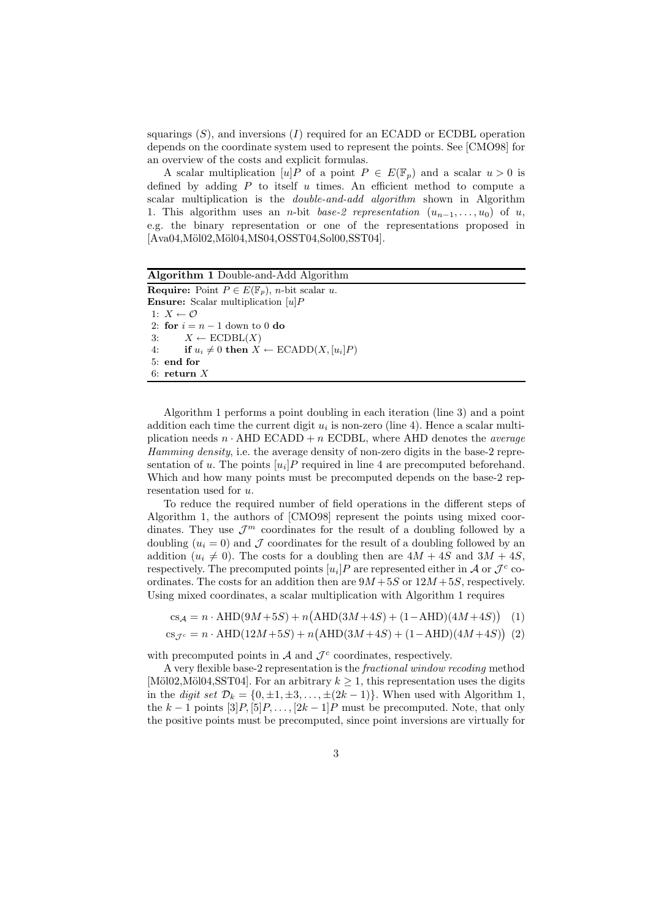squarings  $(S)$ , and inversions  $(I)$  required for an ECADD or ECDBL operation depends on the coordinate system used to represent the points. See [CMO98] for an overview of the costs and explicit formulas.

A scalar multiplication  $[u]P$  of a point  $P \in E(\mathbb{F}_p)$  and a scalar  $u > 0$  is defined by adding  $P$  to itself  $u$  times. An efficient method to compute a scalar multiplication is the *double-and-add algorithm* shown in Algorithm 1. This algorithm uses an *n*-bit base-2 representation  $(u_{n-1},...,u_0)$  of u, e.g. the binary representation or one of the representations proposed in [Ava04,Möl02,Möl04,MS04,OSST04,Sol00,SST04].

Algorithm 1 Double-and-Add Algorithm **Require:** Point  $P \in E(\mathbb{F}_p)$ , *n*-bit scalar u. **Ensure:** Scalar multiplication  $[u]P$ 1:  $X \leftarrow \mathcal{O}$ 2: for  $i = n - 1$  down to 0 do 3:  $X \leftarrow \text{ECDBL}(X)$ 4: if  $u_i \neq 0$  then  $X \leftarrow \text{ECADD}(X, [u_i]P)$ 5: end for 6: return X

Algorithm 1 performs a point doubling in each iteration (line 3) and a point addition each time the current digit  $u_i$  is non-zero (line 4). Hence a scalar multiplication needs  $n \cdot \text{AHD ECADD} + n \text{ ECDBL}$ , where AHD denotes the *average* Hamming density, i.e. the average density of non-zero digits in the base-2 representation of u. The points  $[u_i]$  required in line 4 are precomputed beforehand. Which and how many points must be precomputed depends on the base-2 representation used for u.

To reduce the required number of field operations in the different steps of Algorithm 1, the authors of [CMO98] represent the points using mixed coordinates. They use  $\mathcal{J}^m$  coordinates for the result of a doubling followed by a doubling  $(u_i = 0)$  and  $\mathcal J$  coordinates for the result of a doubling followed by an addition  $(u_i \neq 0)$ . The costs for a doubling then are  $4M + 4S$  and  $3M + 4S$ , respectively. The precomputed points  $[u_i]P$  are represented either in A or  $\mathcal{J}^c$  coordinates. The costs for an addition then are  $9M + 5S$  or  $12M + 5S$ , respectively. Using mixed coordinates, a scalar multiplication with Algorithm 1 requires

$$
cs_A = n \cdot \text{AHD}(9M + 5S) + n(\text{AHD}(3M + 4S) + (1 - \text{AHD})(4M + 4S)) \tag{1}
$$

$$
cs_{\mathcal{J}^c} = n \cdot \text{AHD}(12M + 5S) + n(\text{AHD}(3M + 4S) + (1 - \text{AHD})(4M + 4S)) (2)
$$

with precomputed points in  $A$  and  $\mathcal{J}^c$  coordinates, respectively.

A very flexible base-2 representation is the fractional window recoding method [Möl02,Möl04,SST04]. For an arbitrary  $k \geq 1$ , this representation uses the digits in the digit set  $\mathcal{D}_k = \{0, \pm 1, \pm 3, \ldots, \pm (2k-1)\}\.$  When used with Algorithm 1, the k – 1 points  $[3]P, [5]P, \ldots, [2k-1]P$  must be precomputed. Note, that only the positive points must be precomputed, since point inversions are virtually for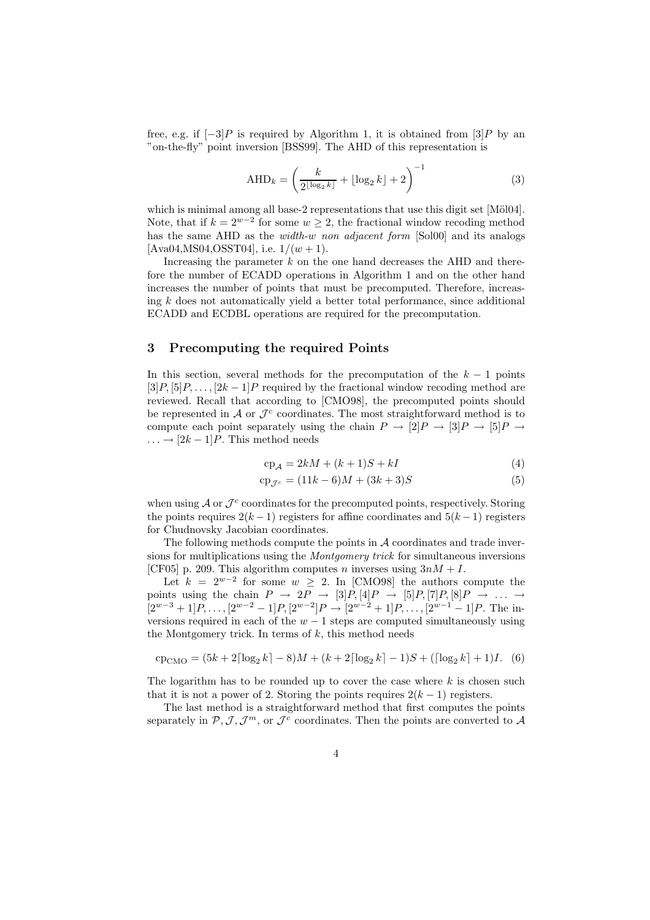free, e.g. if  $[-3]P$  is required by Algorithm 1, it is obtained from  $[3]P$  by an "on-the-fly" point inversion [BSS99]. The AHD of this representation is

$$
AHD_k = \left(\frac{k}{2^{\lfloor \log_2 k \rfloor}} + \lfloor \log_2 k \rfloor + 2\right)^{-1}
$$
 (3)

which is minimal among all base-2 representations that use this digit set  $[M\ddot{o}l04]$ . Note, that if  $k = 2^{w-2}$  for some  $w \geq 2$ , the fractional window recoding method has the same AHD as the *width-w non adjacent form* [Sol00] and its analogs  $[Ava04, MS04, OSST04], i.e. 1/(w + 1).$ 

Increasing the parameter  $k$  on the one hand decreases the AHD and therefore the number of ECADD operations in Algorithm 1 and on the other hand increases the number of points that must be precomputed. Therefore, increasing  $k$  does not automatically yield a better total performance, since additional ECADD and ECDBL operations are required for the precomputation.

#### 3 Precomputing the required Points

In this section, several methods for the precomputation of the  $k-1$  points  $[3]P, [5]P, \ldots, [2k-1]P$  required by the fractional window recoding method are reviewed. Recall that according to [CMO98], the precomputed points should be represented in  $A$  or  $\mathcal{J}^c$  coordinates. The most straightforward method is to compute each point separately using the chain  $P \to [2]P \to [3]P \to [5]P \to$  $\ldots \rightarrow [2k-1]P$ . This method needs

$$
cp_{\mathcal{A}} = 2kM + (k+1)S + kI \tag{4}
$$

$$
cp_{\mathcal{J}^c} = (11k - 6)M + (3k + 3)S
$$
 (5)

when using  $A$  or  $\mathcal{J}^c$  coordinates for the precomputed points, respectively. Storing the points requires  $2(k-1)$  registers for affine coordinates and  $5(k-1)$  registers for Chudnovsky Jacobian coordinates.

The following methods compute the points in  $A$  coordinates and trade inversions for multiplications using the *Montgomery trick* for simultaneous inversions [CF05] p. 209. This algorithm computes n inverses using  $3nM + I$ .

Let  $k = 2^{w-2}$  for some  $w \geq 2$ . In [CMO98] the authors compute the points using the chain  $P \to 2P \to [3]P, [4]P \to [5]P, [7]P, [8]P \to \ldots \to$  $[2^{w-3}+1]P, \ldots, [2^{w-2}-1]P, [2^{w-2}]P \rightarrow [2^{w-2}+1]P, \ldots, [2^{w-1}-1]P.$  The inversions required in each of the  $w - 1$  steps are computed simultaneously using the Montgomery trick. In terms of  $k$ , this method needs

$$
cp_{CMO} = (5k + 2\lceil \log_2 k \rceil - 8)M + (k + 2\lceil \log_2 k \rceil - 1)S + (\lceil \log_2 k \rceil + 1)I.
$$
 (6)

The logarithm has to be rounded up to cover the case where  $k$  is chosen such that it is not a power of 2. Storing the points requires  $2(k-1)$  registers.

The last method is a straightforward method that first computes the points separately in  $P, J, J<sup>m</sup>$ , or  $J<sup>c</sup>$  coordinates. Then the points are converted to A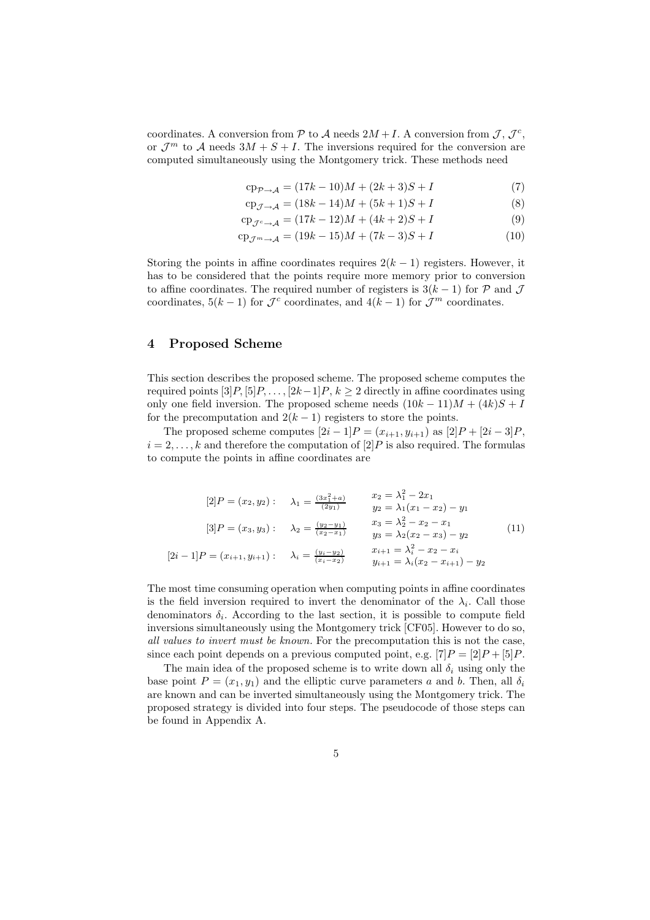coordinates. A conversion from  $P$  to  $\mathcal A$  needs  $2M + I$ . A conversion from  $\mathcal J, \mathcal J^c$ , or  $\mathcal{J}^m$  to A needs  $3M + S + I$ . The inversions required for the conversion are computed simultaneously using the Montgomery trick. These methods need

$$
cp_{P \to A} = (17k - 10)M + (2k + 3)S + I \tag{7}
$$

$$
cp_{\mathcal{J}\to\mathcal{A}} = (18k - 14)M + (5k + 1)S + I
$$
 (8)

$$
cp_{\mathcal{J}^c \to \mathcal{A}} = (17k - 12)M + (4k + 2)S + I
$$
 (9)

$$
cp_{\mathcal{J}^m \to \mathcal{A}} = (19k - 15)M + (7k - 3)S + I \tag{10}
$$

Storing the points in affine coordinates requires  $2(k-1)$  registers. However, it has to be considered that the points require more memory prior to conversion to affine coordinates. The required number of registers is  $3(k-1)$  for P and J coordinates,  $5(k-1)$  for  $\mathcal{J}^c$  coordinates, and  $4(k-1)$  for  $\mathcal{J}^m$  coordinates.

### 4 Proposed Scheme

This section describes the proposed scheme. The proposed scheme computes the required points  $[3]P, [5]P, \ldots, [2k-1]P, k \geq 2$  directly in affine coordinates using only one field inversion. The proposed scheme needs  $(10k - 11)M + (4k)S + I$ for the precomputation and  $2(k-1)$  registers to store the points.

The proposed scheme computes  $[2i - 1]P = (x_{i+1}, y_{i+1})$  as  $[2]P + [2i - 3]P$ ,  $i = 2, \ldots, k$  and therefore the computation of  $[2]P$  is also required. The formulas to compute the points in affine coordinates are

$$
[2]P = (x_2, y_2): \quad \lambda_1 = \frac{(3x_1^2 + a)}{(2y_1)} \qquad \begin{array}{l}\nx_2 = \lambda_1^2 - 2x_1 \\
y_2 = \lambda_1(x_1 - x_2) - y_1\n\end{array}
$$
\n
$$
[3]P = (x_3, y_3): \quad \lambda_2 = \frac{(y_2 - y_1)}{(x_2 - x_1)} \qquad \begin{array}{l}\nx_3 = \lambda_2^2 - x_2 - x_1 \\
y_3 = \lambda_2(x_2 - x_3) - y_2\n\end{array}
$$
\n
$$
[2i - 1]P = (x_{i+1}, y_{i+1}): \quad \lambda_i = \frac{(y_i - y_2)}{(x_i - x_2)} \qquad \begin{array}{l}\nx_{i+1} = \lambda_i^2 - x_2 - x_i \\
y_{i+1} = \lambda_i(x_2 - x_{i+1}) - y_2\n\end{array}
$$
\n
$$
(11)
$$

The most time consuming operation when computing points in affine coordinates is the field inversion required to invert the denominator of the  $\lambda_i$ . Call those denominators  $\delta_i$ . According to the last section, it is possible to compute field inversions simultaneously using the Montgomery trick [CF05]. However to do so, all values to invert must be known. For the precomputation this is not the case, since each point depends on a previous computed point, e.g.  $[7]P = [2]P + [5]P$ .

The main idea of the proposed scheme is to write down all  $\delta_i$  using only the base point  $P = (x_1, y_1)$  and the elliptic curve parameters a and b. Then, all  $\delta_i$ are known and can be inverted simultaneously using the Montgomery trick. The proposed strategy is divided into four steps. The pseudocode of those steps can be found in Appendix A.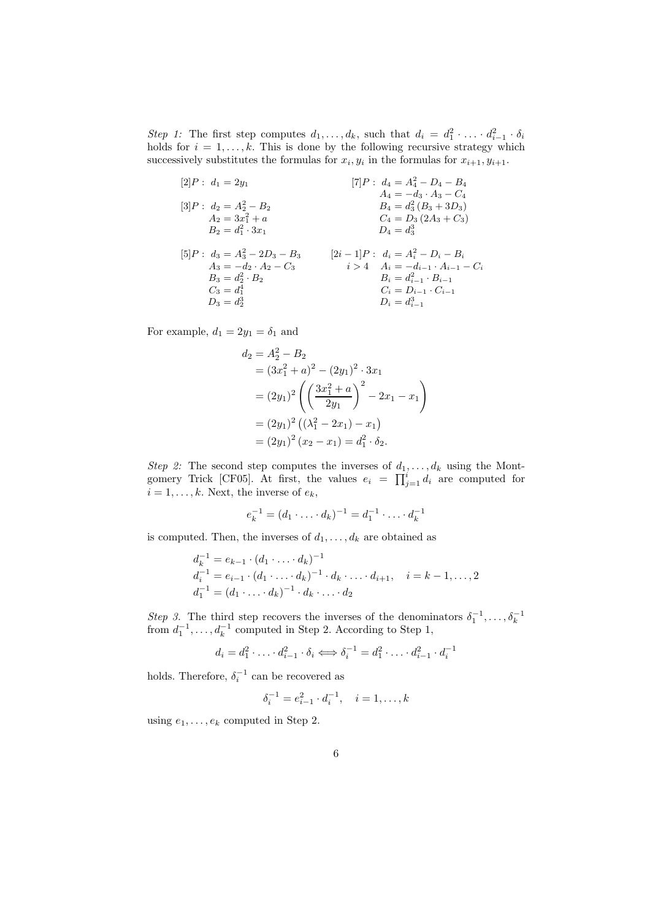Step 1: The first step computes  $d_1, \ldots, d_k$ , such that  $d_i = d_1^2 \cdot \ldots \cdot d_{i-1}^2 \cdot \delta_i$ holds for  $i = 1, ..., k$ . This is done by the following recursive strategy which successively substitutes the formulas for  $x_i, y_i$  in the formulas for  $x_{i+1}, y_{i+1}$ .

$$
[2]P: d_1 = 2y_1
$$
  
\n
$$
[3]P: d_2 = A_2^2 - B_2
$$
  
\n
$$
A_2 = 3x_1^2 + a
$$
  
\n
$$
B_2 = d_1^2 \cdot 3x_1
$$
  
\n
$$
A_3 = -d_2 \cdot A_2 - C_3
$$
  
\n
$$
B_3 = d_2^2 \cdot B_2
$$
  
\n
$$
B_4 = d_3^2 (B_3 + 3D_3)
$$
  
\n
$$
C_4 = D_3 (2A_3 + C_3)
$$
  
\n
$$
D_4 = d_3^3
$$
  
\n
$$
A_i = -d_i - D_i - B_i
$$
  
\n
$$
A_5 = -d_2 \cdot A_2 - C_3
$$
  
\n
$$
B_6 = d_{i-1}^2 \cdot B_{i-1}
$$
  
\n
$$
C_i = D_{i-1} \cdot C_{i-1}
$$
  
\n
$$
D_i = d_{i-1}^3
$$
  
\n
$$
D_i = d_{i-1}^3
$$

For example,  $d_1 = 2y_1 = \delta_1$  and

$$
d_2 = A_2^2 - B_2
$$
  
=  $(3x_1^2 + a)^2 - (2y_1)^2 \cdot 3x_1$   
=  $(2y_1)^2 \left( \left( \frac{3x_1^2 + a}{2y_1} \right)^2 - 2x_1 - x_1 \right)$   
=  $(2y_1)^2 \left( (\lambda_1^2 - 2x_1) - x_1 \right)$   
=  $(2y_1)^2 (x_2 - x_1) = d_1^2 \cdot \delta_2.$ 

Step 2: The second step computes the inverses of  $d_1, \ldots, d_k$  using the Montgomery Trick [CF05]. At first, the values  $e_i = \prod_{j=1}^i d_i$  are computed for  $i = 1, \ldots, k$ . Next, the inverse of  $e_k$ ,

$$
e_k^{-1} = (d_1 \cdot \ldots \cdot d_k)^{-1} = d_1^{-1} \cdot \ldots \cdot d_k^{-1}
$$

is computed. Then, the inverses of  $d_1, \ldots, d_k$  are obtained as

$$
d_k^{-1} = e_{k-1} \cdot (d_1 \cdot \ldots \cdot d_k)^{-1}
$$
  
\n
$$
d_i^{-1} = e_{i-1} \cdot (d_1 \cdot \ldots \cdot d_k)^{-1} \cdot d_k \cdot \ldots \cdot d_{i+1}, \quad i = k - 1, \ldots, 2
$$
  
\n
$$
d_1^{-1} = (d_1 \cdot \ldots \cdot d_k)^{-1} \cdot d_k \cdot \ldots \cdot d_2
$$

Step 3. The third step recovers the inverses of the denominators  $\delta_1^{-1}, \ldots, \delta_k^{-1}$  from  $d_1^{-1}, \ldots, d_k^{-1}$  computed in Step 2. According to Step 1,

$$
d_i = d_1^2 \cdot \ldots \cdot d_{i-1}^2 \cdot \delta_i \Longleftrightarrow \delta_i^{-1} = d_1^2 \cdot \ldots \cdot d_{i-1}^2 \cdot d_i^{-1}
$$

holds. Therefore,  $\delta_i^{-1}$  can be recovered as

$$
\delta_i^{-1} = e_{i-1}^2 \cdot d_i^{-1}, \quad i = 1, \dots, k
$$

using  $e_1, \ldots, e_k$  computed in Step 2.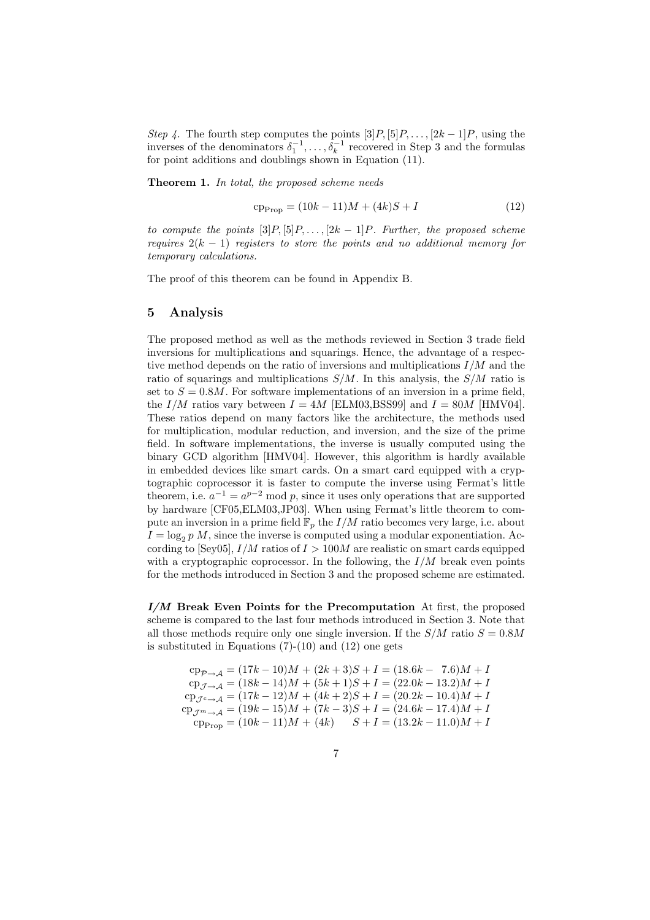Step 4. The fourth step computes the points  $[3]P, [5]P, \ldots, [2k-1]P$ , using the inverses of the denominators  $\delta_1^{-1}, \ldots, \delta_k^{-1}$  recovered in Step 3 and the formulas for point additions and doublings shown in Equation (11).

Theorem 1. In total, the proposed scheme needs

$$
cp_{Prop} = (10k - 11)M + (4k)S + I \tag{12}
$$

to compute the points  $[3]P, [5]P, \ldots, [2k-1]P$ . Further, the proposed scheme requires  $2(k-1)$  registers to store the points and no additional memory for temporary calculations.

The proof of this theorem can be found in Appendix B.

#### 5 Analysis

The proposed method as well as the methods reviewed in Section 3 trade field inversions for multiplications and squarings. Hence, the advantage of a respective method depends on the ratio of inversions and multiplications  $I/M$  and the ratio of squarings and multiplications  $S/M$ . In this analysis, the  $S/M$  ratio is set to  $S = 0.8M$ . For software implementations of an inversion in a prime field, the  $I/M$  ratios vary between  $I = 4M$  [ELM03,BSS99] and  $I = 80M$  [HMV04]. These ratios depend on many factors like the architecture, the methods used for multiplication, modular reduction, and inversion, and the size of the prime field. In software implementations, the inverse is usually computed using the binary GCD algorithm [HMV04]. However, this algorithm is hardly available in embedded devices like smart cards. On a smart card equipped with a cryptographic coprocessor it is faster to compute the inverse using Fermat's little theorem, i.e.  $a^{-1} = a^{p-2} \mod p$ , since it uses only operations that are supported by hardware [CF05,ELM03,JP03]. When using Fermat's little theorem to compute an inversion in a prime field  $\mathbb{F}_p$  the  $I/M$  ratio becomes very large, i.e. about  $I = \log_2 p M$ , since the inverse is computed using a modular exponentiation. According to  $\text{Sev05}$ ,  $I/M$  ratios of  $I > 100M$  are realistic on smart cards equipped with a cryptographic coprocessor. In the following, the  $I/M$  break even points for the methods introduced in Section 3 and the proposed scheme are estimated.

 $I/M$  Break Even Points for the Precomputation At first, the proposed scheme is compared to the last four methods introduced in Section 3. Note that all those methods require only one single inversion. If the  $S/M$  ratio  $S = 0.8M$ is substituted in Equations  $(7)-(10)$  and  $(12)$  one gets

 $cp_{\mathcal{P}\rightarrow A} = (17k - 10)M + (2k + 3)S + I = (18.6k - 7.6)M + I$  $cp_{7\rightarrow A} = (18k - 14)M + (5k + 1)S + I = (22.0k - 13.2)M + I$  $cp_{\mathcal{J}^c \to \mathcal{A}} = (17k - 12)M + (4k + 2)S + I = (20.2k - 10.4)M + I$  $c_{P, \tau_{m \to A}} = (19k - 15)M + (7k - 3)S + I = (24.6k - 17.4)M + I$  $c p_{\text{Prop}} = (10k - 11)M + (4k)$   $S + I = (13.2k - 11.0)M + I$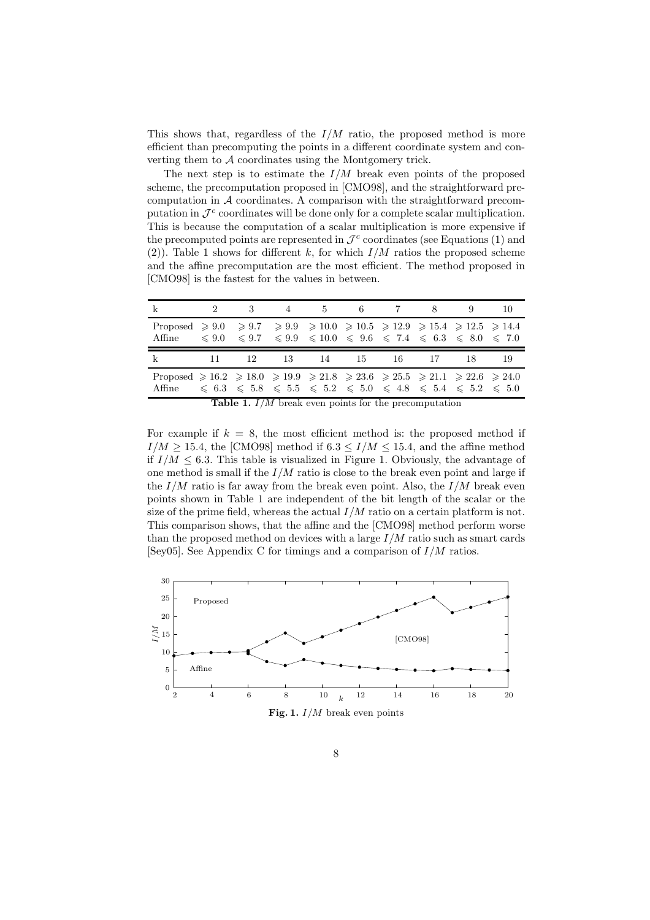This shows that, regardless of the  $I/M$  ratio, the proposed method is more efficient than precomputing the points in a different coordinate system and converting them to  $A$  coordinates using the Montgomery trick.

The next step is to estimate the  $I/M$  break even points of the proposed scheme, the precomputation proposed in [CMO98], and the straightforward precomputation in  $A$  coordinates. A comparison with the straightforward precomputation in  $\mathcal{J}^c$  coordinates will be done only for a complete scalar multiplication. This is because the computation of a scalar multiplication is more expensive if the precomputed points are represented in  $\mathcal{J}^c$  coordinates (see Equations (1) and (2)). Table 1 shows for different k, for which  $I/M$  ratios the proposed scheme and the affine precomputation are the most efficient. The method proposed in [CMO98] is the fastest for the values in between.

| $\mathbf k$                                                                                                                                                                                       | 2 3 4 5 6 7 8 9 10 |  |  |  |  |
|---------------------------------------------------------------------------------------------------------------------------------------------------------------------------------------------------|--------------------|--|--|--|--|
| Proposed $\ge 9.0 \ge 9.7 \ge 9.9 \ge 10.0 \ge 10.5 \ge 12.9 \ge 15.4 \ge 12.5 \ge 14.4$<br>Affine $\leq 9.0 \leq 9.7 \leq 9.9 \leq 10.0 \leq 9.6 \leq 7.4 \leq 6.3 \leq 8.0 \leq 7.0$            |                    |  |  |  |  |
| k 11 12 13 14 15 16 17 18 19                                                                                                                                                                      |                    |  |  |  |  |
| Proposed $\geq 16.2 \geq 18.0 \geq 19.9 \geq 21.8 \geq 23.6 \geq 25.5 \geq 21.1 \geq 22.6 \geq 24.0$<br>Affine $\leq 6.3 \leq 5.8 \leq 5.5 \leq 5.2 \leq 5.0 \leq 4.8 \leq 5.4 \leq 5.2 \leq 5.0$ |                    |  |  |  |  |

**Table 1.**  $I/M$  break even points for the precomputation

For example if  $k = 8$ , the most efficient method is: the proposed method if  $I/M \ge 15.4$ , the [CMO98] method if  $6.3 \le I/M \le 15.4$ , and the affine method if  $I/M \leq 6.3$ . This table is visualized in Figure 1. Obviously, the advantage of one method is small if the  $I/M$  ratio is close to the break even point and large if the  $I/M$  ratio is far away from the break even point. Also, the  $I/M$  break even points shown in Table 1 are independent of the bit length of the scalar or the size of the prime field, whereas the actual  $I/M$  ratio on a certain platform is not. This comparison shows, that the affine and the [CMO98] method perform worse than the proposed method on devices with a large  $I/M$  ratio such as smart cards [Sey05]. See Appendix C for timings and a comparison of  $I/M$  ratios.

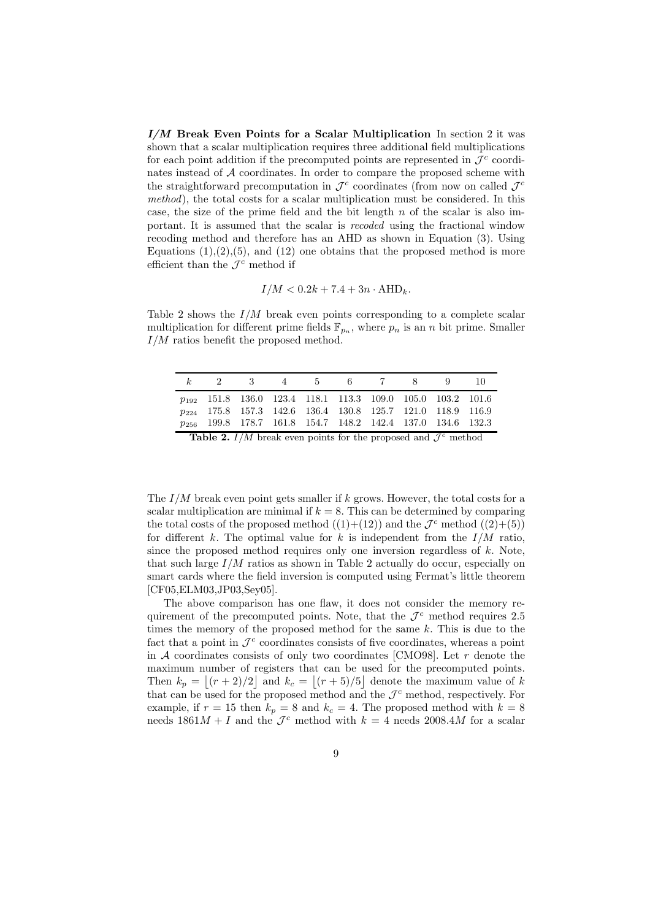$I/M$  Break Even Points for a Scalar Multiplication In section 2 it was shown that a scalar multiplication requires three additional field multiplications for each point addition if the precomputed points are represented in  $\mathcal{J}^c$  coordinates instead of A coordinates. In order to compare the proposed scheme with the straightforward precomputation in  $\mathcal{J}^c$  coordinates (from now on called  $\mathcal{J}^c$ method), the total costs for a scalar multiplication must be considered. In this case, the size of the prime field and the bit length  $n$  of the scalar is also important. It is assumed that the scalar is recoded using the fractional window recoding method and therefore has an AHD as shown in Equation (3). Using Equations  $(1),(2),(5)$ , and  $(12)$  one obtains that the proposed method is more efficient than the  $\mathcal{J}^c$  method if

$$
I/M < 0.2k + 7.4 + 3n \cdot \text{AHD}_k.
$$

Table 2 shows the  $I/M$  break even points corresponding to a complete scalar multiplication for different prime fields  $\mathbb{F}_{p_n}$ , where  $p_n$  is an n bit prime. Smaller  $I/M$  ratios benefit the proposed method.

|  | k 2 3 4 5 6 7 8 9 10                                                          |  |  |  |  |
|--|-------------------------------------------------------------------------------|--|--|--|--|
|  | $p_{192}$ 151.8 136.0 123.4 118.1 113.3 109.0 105.0 103.2 101.6               |  |  |  |  |
|  | <i>p</i> <sub>224</sub> 175.8 157.3 142.6 136.4 130.8 125.7 121.0 118.9 116.9 |  |  |  |  |
|  | p <sub>256</sub> 199.8 178.7 161.8 154.7 148.2 142.4 137.0 134.6 132.3        |  |  |  |  |
|  |                                                                               |  |  |  |  |

**Table 2.**  $I/M$  break even points for the proposed and  $\mathcal{J}^c$  method

The  $I/M$  break even point gets smaller if k grows. However, the total costs for a scalar multiplication are minimal if  $k = 8$ . This can be determined by comparing the total costs of the proposed method  $((1)+(12))$  and the  $\mathcal{J}^c$  method  $((2)+(5))$ for different k. The optimal value for k is independent from the  $I/M$  ratio, since the proposed method requires only one inversion regardless of  $k$ . Note, that such large  $I/M$  ratios as shown in Table 2 actually do occur, especially on smart cards where the field inversion is computed using Fermat's little theorem [CF05,ELM03,JP03,Sey05].

The above comparison has one flaw, it does not consider the memory requirement of the precomputed points. Note, that the  $\mathcal{J}^c$  method requires 2.5 times the memory of the proposed method for the same  $k$ . This is due to the fact that a point in  $\mathcal{J}^c$  coordinates consists of five coordinates, whereas a point in  $A$  coordinates consists of only two coordinates [CMO98]. Let  $r$  denote the maximum number of registers that can be used for the precomputed points. Then  $k_p = |(r+2)/2|$  and  $k_c = |(r+5)/5|$  denote the maximum value of k that can be used for the proposed method and the  $\mathcal{J}^c$  method, respectively. For example, if  $r = 15$  then  $k_p = 8$  and  $k_c = 4$ . The proposed method with  $k = 8$ needs  $1861M + I$  and the  $\mathcal{J}^c$  method with  $k = 4$  needs  $2008.4M$  for a scalar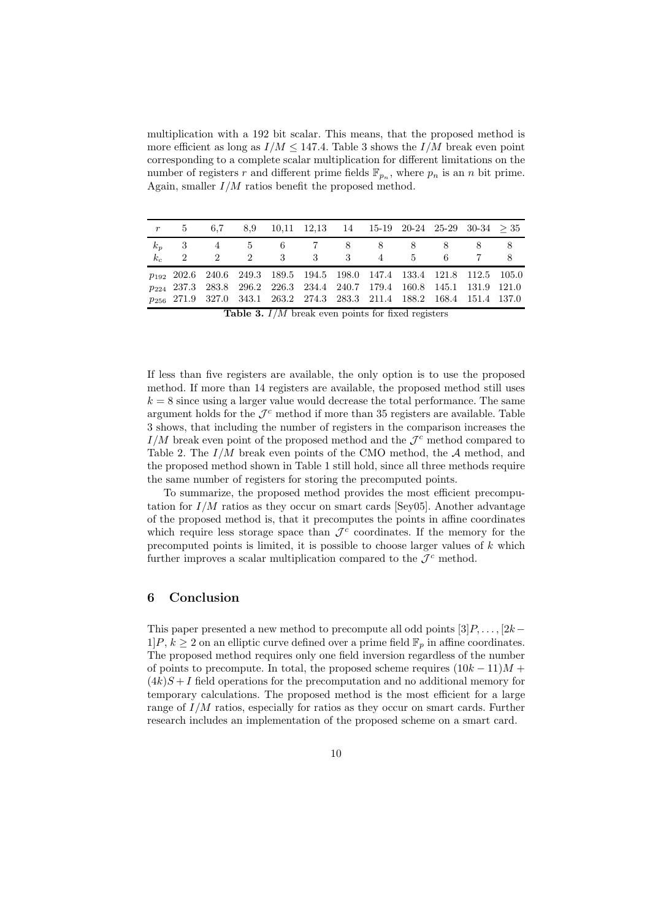multiplication with a 192 bit scalar. This means, that the proposed method is more efficient as long as  $I/M \le 147.4$ . Table 3 shows the  $I/M$  break even point corresponding to a complete scalar multiplication for different limitations on the number of registers r and different prime fields  $\mathbb{F}_{p_n}$ , where  $p_n$  is an n bit prime. Again, smaller  $I/M$  ratios benefit the proposed method.

|       | $r=5$         | 6,7         | $8,9$ $10,11$ $12,13$ $14$ $15-19$ $20-24$ $25-29$ $30-34$ $>35$                                                                                                         |  |  |     |    |
|-------|---------------|-------------|--------------------------------------------------------------------------------------------------------------------------------------------------------------------------|--|--|-----|----|
|       |               |             | $k_p$ 3 4 5 6 7 8 8 8 8 8 8                                                                                                                                              |  |  |     |    |
| $k_c$ | $\mathcal{D}$ | $2^{\circ}$ | 2 3 3 3 4 5                                                                                                                                                              |  |  | - 6 | -8 |
|       |               |             | p <sub>192</sub> 202.6 240.6 249.3 189.5 194.5 198.0 147.4 133.4 121.8 112.5 105.0<br>p <sub>224</sub> 237.3 283.8 296.2 226.3 234.4 240.7 179.4 160.8 145.1 131.9 121.0 |  |  |     |    |
|       |               |             | p <sub>256</sub> 271.9 327.0 343.1 263.2 274.3 283.3 211.4 188.2 168.4 151.4 137.0                                                                                       |  |  |     |    |
|       |               |             | $\pi$ ii $\alpha$ $\tau / \pi$ ii $\tau$ is $\alpha$ ii $\tau$                                                                                                           |  |  |     |    |

**Table 3.**  $I/M$  break even points for fixed registers

If less than five registers are available, the only option is to use the proposed method. If more than 14 registers are available, the proposed method still uses  $k = 8$  since using a larger value would decrease the total performance. The same argument holds for the  $\mathcal{J}^c$  method if more than 35 registers are available. Table 3 shows, that including the number of registers in the comparison increases the  $I/M$  break even point of the proposed method and the  $\mathcal{J}^c$  method compared to Table 2. The  $I/M$  break even points of the CMO method, the  $A$  method, and the proposed method shown in Table 1 still hold, since all three methods require the same number of registers for storing the precomputed points.

To summarize, the proposed method provides the most efficient precomputation for  $I/M$  ratios as they occur on smart cards [Sey05]. Another advantage of the proposed method is, that it precomputes the points in affine coordinates which require less storage space than  $\mathcal{J}^c$  coordinates. If the memory for the precomputed points is limited, it is possible to choose larger values of  $k$  which further improves a scalar multiplication compared to the  $\mathcal{J}^c$  method.

### 6 Conclusion

This paper presented a new method to precompute all odd points  $[3]P, \ldots, [2k-1]$  $1\vert P, k \geq 2$  on an elliptic curve defined over a prime field  $\mathbb{F}_p$  in affine coordinates. The proposed method requires only one field inversion regardless of the number of points to precompute. In total, the proposed scheme requires  $(10k - 11)M +$  $(4k)S+I$  field operations for the precomputation and no additional memory for temporary calculations. The proposed method is the most efficient for a large range of  $I/M$  ratios, especially for ratios as they occur on smart cards. Further research includes an implementation of the proposed scheme on a smart card.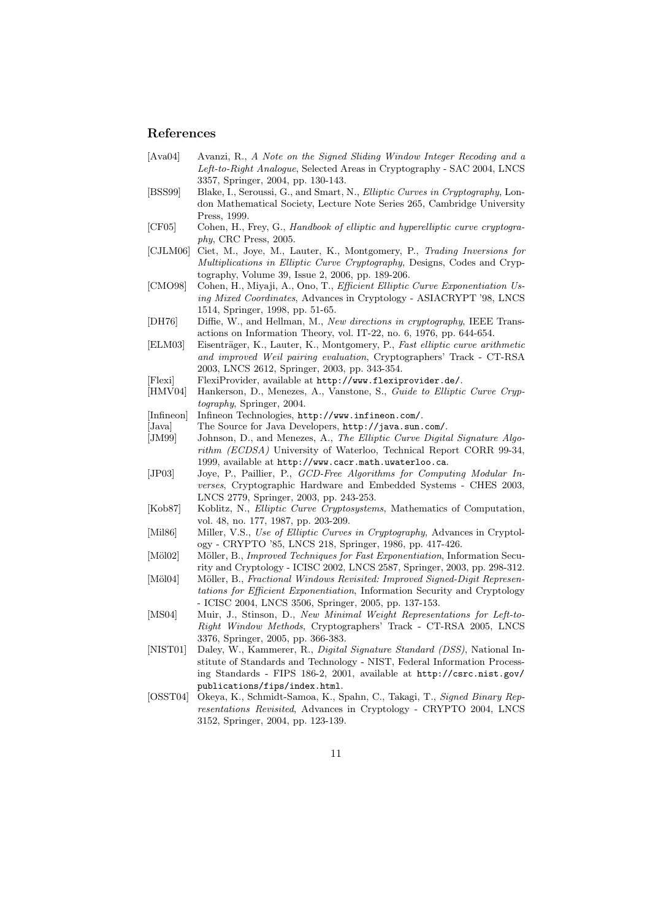#### References

- [Ava04] Avanzi, R., A Note on the Signed Sliding Window Integer Recoding and a Left-to-Right Analogue, Selected Areas in Cryptography - SAC 2004, LNCS 3357, Springer, 2004, pp. 130-143.
- [BSS99] Blake, I., Seroussi, G., and Smart, N., Elliptic Curves in Cryptography, London Mathematical Society, Lecture Note Series 265, Cambridge University Press, 1999.
- [CF05] Cohen, H., Frey, G., Handbook of elliptic and hyperelliptic curve cryptography, CRC Press, 2005.
- [CJLM06] Ciet, M., Joye, M., Lauter, K., Montgomery, P., Trading Inversions for Multiplications in Elliptic Curve Cryptography, Designs, Codes and Cryptography, Volume 39, Issue 2, 2006, pp. 189-206.
- [CMO98] Cohen, H., Miyaji, A., Ono, T., Efficient Elliptic Curve Exponentiation Using Mixed Coordinates, Advances in Cryptology - ASIACRYPT '98, LNCS 1514, Springer, 1998, pp. 51-65.
- [DH76] Diffie, W., and Hellman, M., New directions in cryptography, IEEE Transactions on Information Theory, vol. IT-22, no. 6, 1976, pp. 644-654.
- [ELM03] Eisenträger, K., Lauter, K., Montgomery, P., Fast elliptic curve arithmetic and improved Weil pairing evaluation, Cryptographers' Track - CT-RSA 2003, LNCS 2612, Springer, 2003, pp. 343-354.
- [Flexi] FlexiProvider, available at http://www.flexiprovider.de/.
- [HMV04] Hankerson, D., Menezes, A., Vanstone, S., Guide to Elliptic Curve Cryptography, Springer, 2004.
- [Infineon] Infineon Technologies, http://www.infineon.com/.
- [Java] The Source for Java Developers, http://java.sun.com/.
- [JM99] Johnson, D., and Menezes, A., The Elliptic Curve Digital Signature Algorithm (ECDSA) University of Waterloo, Technical Report CORR 99-34, 1999, available at http://www.cacr.math.uwaterloo.ca.
- [JP03] Joye, P., Paillier, P., GCD-Free Algorithms for Computing Modular Inverses, Cryptographic Hardware and Embedded Systems - CHES 2003, LNCS 2779, Springer, 2003, pp. 243-253.
- [Kob87] Koblitz, N., Elliptic Curve Cryptosystems, Mathematics of Computation, vol. 48, no. 177, 1987, pp. 203-209.
- [Mil86] Miller, V.S., Use of Elliptic Curves in Cryptography, Advances in Cryptology - CRYPTO '85, LNCS 218, Springer, 1986, pp. 417-426.
- [Möl02] Möller, B., *Improved Techniques for Fast Exponentiation*, Information Security and Cryptology - ICISC 2002, LNCS 2587, Springer, 2003, pp. 298-312.
- [Möl04] Möller, B., Fractional Windows Revisited: Improved Signed-Digit Representations for Efficient Exponentiation, Information Security and Cryptology - ICISC 2004, LNCS 3506, Springer, 2005, pp. 137-153.
- [MS04] Muir, J., Stinson, D., New Minimal Weight Representations for Left-to-Right Window Methods, Cryptographers' Track - CT-RSA 2005, LNCS 3376, Springer, 2005, pp. 366-383.
- [NIST01] Daley, W., Kammerer, R., Digital Signature Standard (DSS), National Institute of Standards and Technology - NIST, Federal Information Processing Standards - FIPS 186-2, 2001, available at http://csrc.nist.gov/ publications/fips/index.html.
- [OSST04] Okeya, K., Schmidt-Samoa, K., Spahn, C., Takagi, T., Signed Binary Representations Revisited, Advances in Cryptology - CRYPTO 2004, LNCS 3152, Springer, 2004, pp. 123-139.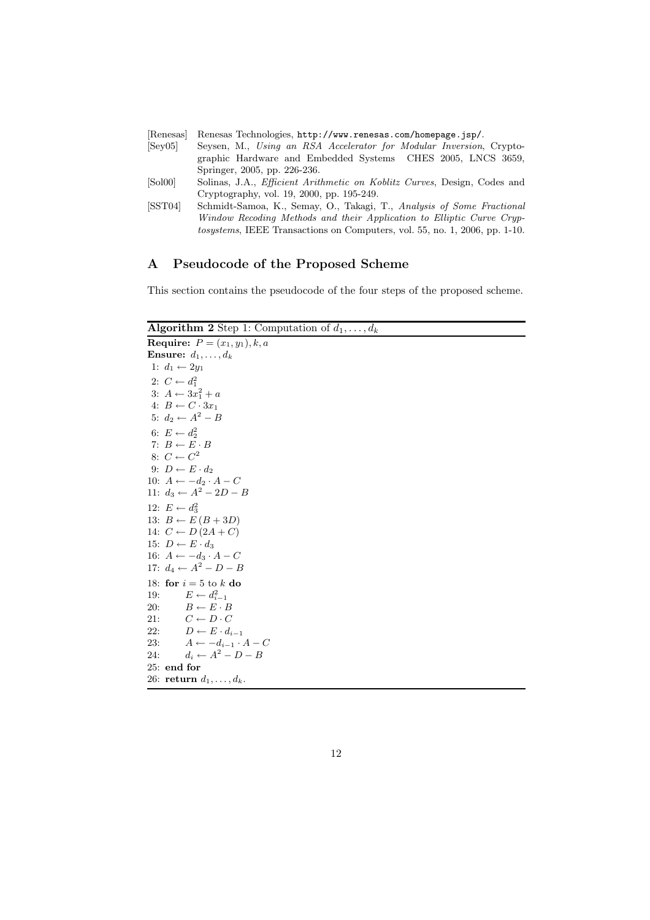| Renesas                | Renesas Technologies, http://www.renesas.com/homepage.jsp/.                        |
|------------------------|------------------------------------------------------------------------------------|
| [Sev05]                | Seysen, M., Using an RSA Accelerator for Modular Inversion, Crypto-                |
|                        | graphic Hardware and Embedded Systems CHES 2005, LNCS 3659,                        |
|                        | Springer, 2005, pp. 226-236.                                                       |
| $\left[ Sol00 \right]$ | Solinas, J.A., <i>Efficient Arithmetic on Koblitz Curves</i> , Design, Codes and   |
|                        | Cryptography, vol. 19, 2000, pp. 195-249.                                          |
| [SST04]                | Schmidt-Samoa, K., Semay, O., Takagi, T., Analysis of Some Fractional              |
|                        | Window Recoding Methods and their Application to Elliptic Curve Cryp-              |
|                        | <i>tosystems</i> , IEEE Transactions on Computers, vol. 55, no. 1, 2006, pp. 1-10. |
|                        |                                                                                    |

## A Pseudocode of the Proposed Scheme

This section contains the pseudocode of the four steps of the proposed scheme.

Algorithm 2 Step 1: Computation of  $d_1, \ldots, d_k$ 

|     | <b>Require:</b> $P = (x_1, y_1), k, a$ |
|-----|----------------------------------------|
|     | <b>Ensure:</b> $d_1, \ldots, d_k$      |
|     | 1: $d_1 \leftarrow 2y_1$               |
|     | 2: $C \leftarrow d_1^2$                |
|     | 3: $A \leftarrow 3x_1^2 + a$           |
|     | 4: $B \leftarrow C \cdot 3x_1$         |
|     | 5: $d_2 \leftarrow A^2 - B$            |
|     | 6: $E \leftarrow d_2^2$                |
|     | 7: $B \leftarrow E \cdot B$            |
|     | 8: $C \leftarrow C^2$                  |
|     | 9: $D \leftarrow E \cdot d_2$          |
|     | 10: $A \leftarrow -d_2 \cdot A - C$    |
|     | 11: $d_3 \leftarrow A^2 - 2D - B$      |
|     | 12: $E \leftarrow d_3^2$               |
|     | 13: $B \leftarrow E(B + 3D)$           |
|     | 14: $C \leftarrow D(2A+C)$             |
|     | 15: $D \leftarrow E \cdot d_3$         |
|     | 16: $A \leftarrow -d_3 \cdot A - C$    |
|     | 17: $d_4 \leftarrow A^2 - D - B$       |
|     | 18: for $i = 5$ to k do                |
| 19: | $E \leftarrow d_{i-1}^2$               |
| 20: | $B \leftarrow E \cdot B$               |
| 21: | $C \leftarrow D \cdot C$               |
| 22: | $D \leftarrow E \cdot d_{i-1}$         |
| 23: | $A \leftarrow -d_{i-1} \cdot A - C$    |
| 24: | $d_i \leftarrow A^2 - D - B$           |
|     | $25:$ end for                          |
|     | 26: return $d_1, \ldots, d_k$ .        |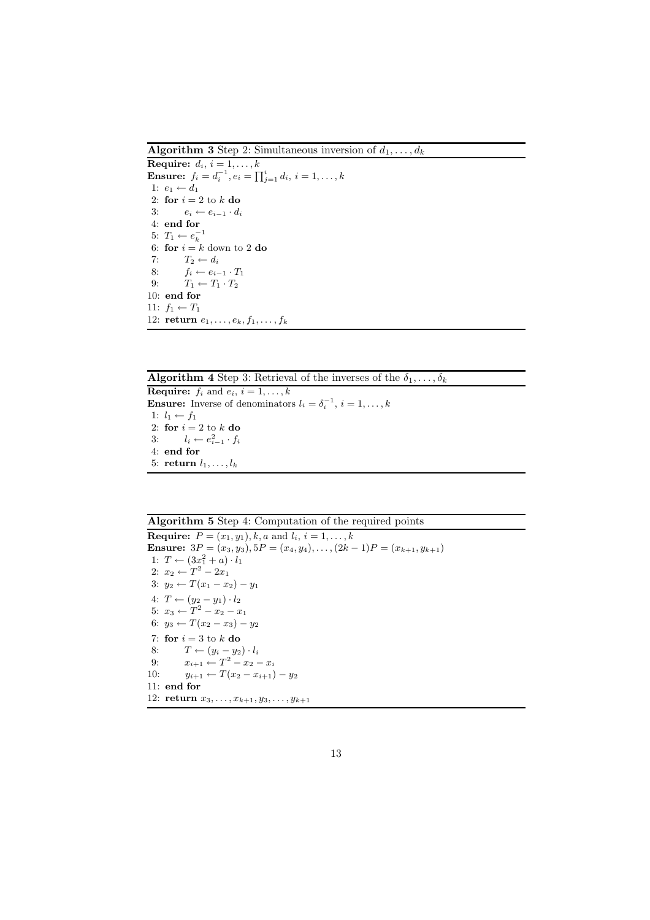**Algorithm 3** Step 2: Simultaneous inversion of  $d_1, \ldots, d_k$ 

Require:  $d_i$ ,  $i = 1, \ldots, k$ **Ensure:**  $f_i = d_i^{-1}, e_i = \prod_{j=1}^i d_i, i = 1, ..., k$ 1:  $e_1 \leftarrow d_1$ 2: for  $i = 2$  to k do 3:  $e_i \leftarrow e_{i-1} \cdot d_i$ 4: end for 5:  $T_1 \leftarrow e_k^{-1}$ 6: for  $i = k$  down to 2 do 7:  $T_2 \leftarrow d_i$ <br>8:  $f_i \leftarrow e_i$ 8:  $f_i \leftarrow e_{i-1} \cdot T_1$ <br>9:  $T_1 \leftarrow T_1 \cdot T_2$  $T_1 \leftarrow T_1 \cdot T_2$ 10: end for 11:  $f_1 \leftarrow T_1$ 12: return  $e_1, \ldots, e_k, f_1, \ldots, f_k$ 

**Algorithm 4** Step 3: Retrieval of the inverses of the  $\overline{\delta_1}, \ldots, \delta_k$ 

**Require:**  $f_i$  and  $e_i$ ,  $i = 1, \ldots, k$ **Ensure:** Inverse of denominators  $l_i = \delta_i^{-1}, i = 1, \ldots, k$ 1:  $l_1 \leftarrow f_1$ 2: for  $i = 2$  to  $k$  do 3:  $l_i \leftarrow e_{i-1}^2 \cdot f_i$ 4: end for 5: return  $l_1, \ldots, l_k$ 

Algorithm 5 Step 4: Computation of the required points

**Require:**  $P = (x_1, y_1), k, a \text{ and } l_i, i = 1, ..., k$ Ensure:  $3P = (x_3, y_3), 5P = (x_4, y_4), \ldots, (2k-1)P = (x_{k+1}, y_{k+1})$ 1:  $T \leftarrow (3x_1^2 + a) \cdot l_1$ 2:  $x_2 \leftarrow T^2 - 2x_1$ 3:  $y_2$  ←  $T(x_1 - x_2) - y_1$ 4:  $T \leftarrow (y_2 - y_1) \cdot l_2$ 5:  $x_3 \leftarrow T^2 - x_2 - x_1$ 6:  $y_3 \leftarrow T(x_2 - x_3) - y_2$ 7: for  $i = 3$  to k do 8:  $T \leftarrow (y_i - y_2) \cdot l_i$ 9:  $x_{i+1} \leftarrow T^2 - x_2 - x_i$ 10:  $y_{i+1} \leftarrow T(x_2 - x_{i+1}) - y_2$ 11: end for 12: **return**  $x_3, \ldots, x_{k+1}, y_3, \ldots, y_{k+1}$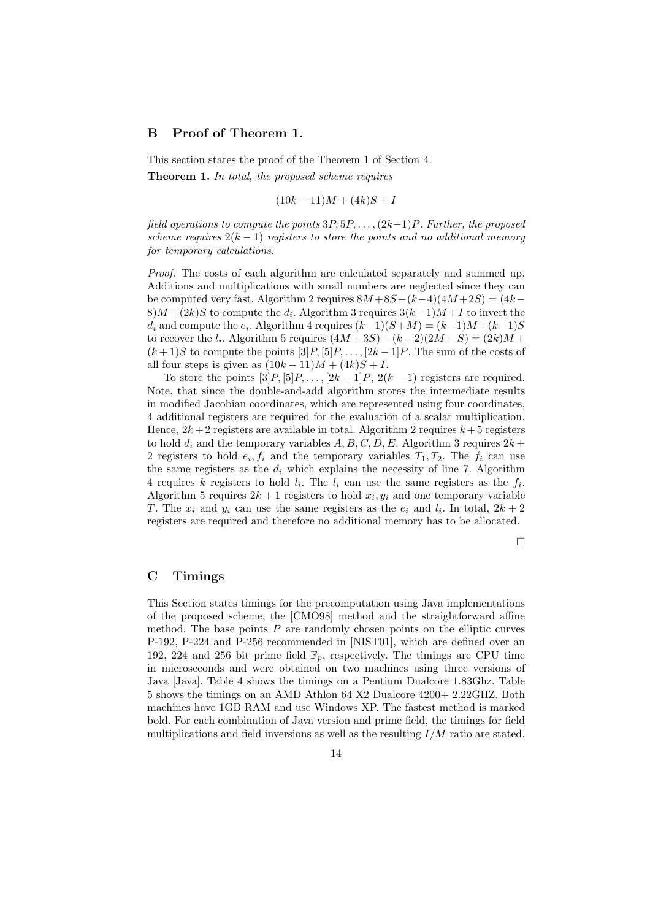## B Proof of Theorem 1.

This section states the proof of the Theorem 1 of Section 4. Theorem 1. In total, the proposed scheme requires

$$
(10k - 11)M + (4k)S + I
$$

field operations to compute the points  $3P, 5P, \ldots, (2k-1)P$ . Further, the proposed scheme requires  $2(k-1)$  registers to store the points and no additional memory for temporary calculations.

Proof. The costs of each algorithm are calculated separately and summed up. Additions and multiplications with small numbers are neglected since they can be computed very fast. Algorithm 2 requires  $8M + 8S + (k-4)(4M + 2S) = (4k 8)M + (2k)S$  to compute the  $d_i$ . Algorithm 3 requires  $3(k-1)M + I$  to invert the  $d_i$  and compute the  $e_i$ . Algorithm 4 requires  $(k-1)(S+M) = (k-1)M + (k-1)S$ to recover the  $l_i$ . Algorithm 5 requires  $(4M+3S) + (k-2)(2M+S) = (2k)M +$  $(k+1)S$  to compute the points  $[3]P, [5]P, \ldots, [2k-1]P$ . The sum of the costs of all four steps is given as  $(10k - 11)M + (4k)S + I$ .

To store the points  $[3]P$ ,  $[5]P$ , ...,  $[2k-1]P$ ,  $2(k-1)$  registers are required. Note, that since the double-and-add algorithm stores the intermediate results in modified Jacobian coordinates, which are represented using four coordinates, 4 additional registers are required for the evaluation of a scalar multiplication. Hence,  $2k+2$  registers are available in total. Algorithm 2 requires  $k+5$  registers to hold  $d_i$  and the temporary variables  $A, B, C, D, E$ . Algorithm 3 requires  $2k +$ 2 registers to hold  $e_i, f_i$  and the temporary variables  $T_1, T_2$ . The  $f_i$  can use the same registers as the  $d_i$  which explains the necessity of line 7. Algorithm 4 requires k registers to hold  $l_i$ . The  $l_i$  can use the same registers as the  $f_i$ . Algorithm 5 requires  $2k+1$  registers to hold  $x_i, y_i$  and one temporary variable T. The  $x_i$  and  $y_i$  can use the same registers as the  $e_i$  and  $l_i$ . In total,  $2k+2$ registers are required and therefore no additional memory has to be allocated.

 $\Box$ 

#### C Timings

This Section states timings for the precomputation using Java implementations of the proposed scheme, the [CMO98] method and the straightforward affine method. The base points  $P$  are randomly chosen points on the elliptic curves P-192, P-224 and P-256 recommended in [NIST01], which are defined over an 192, 224 and 256 bit prime field  $\mathbb{F}_p$ , respectively. The timings are CPU time in microseconds and were obtained on two machines using three versions of Java [Java]. Table 4 shows the timings on a Pentium Dualcore 1.83Ghz. Table 5 shows the timings on an AMD Athlon 64 X2 Dualcore 4200+ 2.22GHZ. Both machines have 1GB RAM and use Windows XP. The fastest method is marked bold. For each combination of Java version and prime field, the timings for field multiplications and field inversions as well as the resulting  $I/M$  ratio are stated.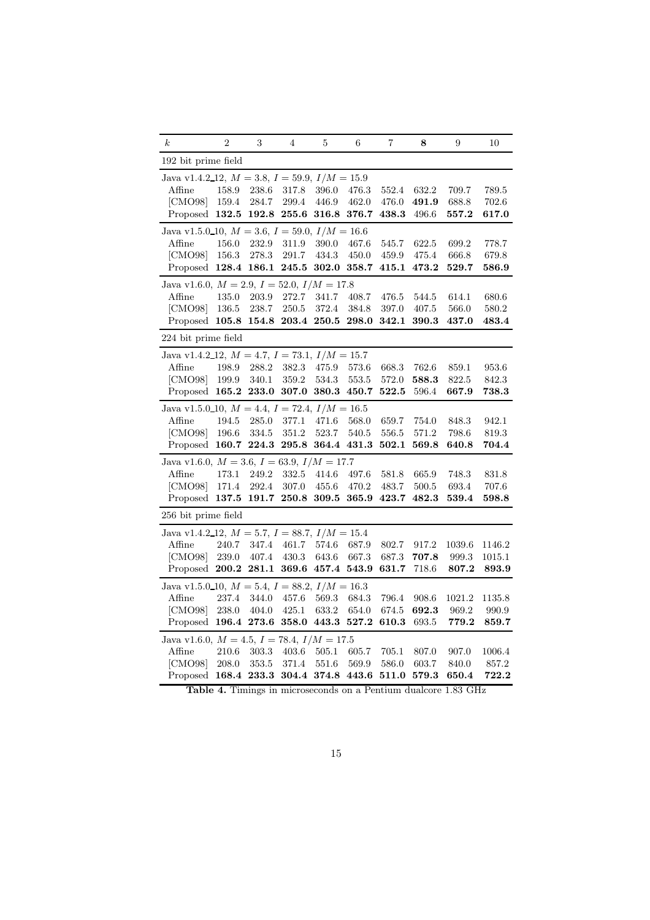| $\boldsymbol{k}$                                      | $\overline{2}$ | 3     | 4             | 5           | 6           | 7     | 8     | 9              | 10          |
|-------------------------------------------------------|----------------|-------|---------------|-------------|-------------|-------|-------|----------------|-------------|
| 192 bit prime field                                   |                |       |               |             |             |       |       |                |             |
| Java v1.4.2_12, $M = 3.8$ , $I = 59.9$ , $I/M = 15.9$ |                |       |               |             |             |       |       |                |             |
| Affine                                                | 158.9          | 238.6 | 317.8         | 396.0       | 476.3       | 552.4 | 632.2 | 709.7          | 789.5       |
| [CMO98]                                               | 159.4          | 284.7 | 299.4         | 446.9       | 462.0       | 476.0 | 491.9 | 688.8          | 702.6       |
| Proposed 132.5                                        |                | 192.8 | 255.6         | 316.8       | 376.7       | 438.3 | 496.6 | 557.2          | 617.0       |
| Java v1.5.0_10, $M = 3.6$ , $I = 59.0$ , $I/M = 16.6$ |                |       |               |             |             |       |       |                |             |
| Affine                                                | 156.0          | 232.9 | 311.9         | 390.0       | 467.6       | 545.7 | 622.5 | 699.2          | 778.7       |
| [CMO98]                                               | 156.3          | 278.3 | 291.7         | 434.3       | 450.0       | 459.9 | 475.4 | 666.8          | 679.8       |
| Proposed                                              | 128.4          | 186.1 | 245.5         | 302.0       | 358.7       | 415.1 | 473.2 | $_{\rm 529.7}$ | 586.9       |
| Java v1.6.0, $M = 2.9$ , $I = 52.0$ , $I/M = 17.8$    |                |       |               |             |             |       |       |                |             |
| Affine                                                | 135.0          | 203.9 | 272.7         | 341.7       | 408.7       | 476.5 | 544.5 | 614.1          | 680.6       |
| [CMO98]                                               | 136.5          | 238.7 | 250.5         | 372.4       | 384.8       | 397.0 | 407.5 | 566.0          | 580.2       |
| Proposed 105.8                                        |                | 154.8 | 203.4         | 250.5       | 298.0       | 342.1 | 390.3 | 437.0          | 483.4       |
| 224 bit prime field                                   |                |       |               |             |             |       |       |                |             |
| Java v1.4.2_12, $M = 4.7$ , $I = 73.1$ , $I/M = 15.7$ |                |       |               |             |             |       |       |                |             |
| Affine                                                | 198.9          | 288.2 | 382.3         | 475.9       | 573.6       | 668.3 | 762.6 | 859.1          | 953.6       |
| [CMO98]                                               | 199.9          | 340.1 | 359.2         | 534.3       | 553.5       | 572.0 | 588.3 | 822.5          | 842.3       |
| Proposed 165.2 233.0                                  |                |       | 307.0         | 380.3       | 450.7       | 522.5 | 596.4 | 667.9          | $\bf 738.3$ |
| Java v1.5.0_10, $M = 4.4$ , $I = 72.4$ , $I/M = 16.5$ |                |       |               |             |             |       |       |                |             |
| Affine                                                | 194.5          | 285.0 | 377.1         | 471.6       | 568.0       | 659.7 | 754.0 | 848.3          | 942.1       |
| [CMO98]                                               | 196.6          | 334.5 | 351.2         | 523.7       | 540.5       | 556.5 | 571.2 | 798.6          | 819.3       |
| Proposed                                              | 160.7          | 224.3 | 295.8         | 364.4       | 431.3       | 502.1 | 569.8 | 640.8          | 704.4       |
| Java v1.6.0, $M = 3.6$ , $I = 63.9$ , $I/M = 17.7$    |                |       |               |             |             |       |       |                |             |
| Affine                                                | 173.1          | 249.2 | 332.5         | 414.6       | 497.6       | 581.8 | 665.9 | 748.3          | 831.8       |
| [CMO98]                                               | 171.4          | 292.4 | 307.0         | 455.6       | 470.2       | 483.7 | 500.5 | 693.4          | 707.6       |
| Proposed 137.5 191.7                                  |                |       | $250.8$ 309.5 |             | 365.9       | 423.7 | 482.3 | 539.4          | 598.8       |
| 256 bit prime field                                   |                |       |               |             |             |       |       |                |             |
| Java v1.4.2_12, $M = 5.7$ , $I = 88.7$ , $I/M = 15.4$ |                |       |               |             |             |       |       |                |             |
| Affine                                                | 240.7          | 347.4 | 461.7         | 574.6       | 687.9       | 802.7 | 917.2 | 1039.6         | 1146.2      |
| [CMO98]                                               | 239.0          | 407.4 | 430.3         | 643.6       | 667.3       | 687.3 | 707.8 | 999.3          | 1015.1      |
| Proposed 200.2                                        |                | 281.1 | 369.6         |             | 457.4 543.9 | 631.7 | 718.6 | 807.2          | 893.9       |
| Java v1.5.0_10, $M = 5.4$ , $I = 88.2$ , $I/M = 16.3$ |                |       |               |             |             |       |       |                |             |
| Affine                                                | 237.4          | 344.0 | 457.6         | 569.3       | 684.3       | 796.4 | 908.6 | 1021.2         | 1135.8      |
| [CMO98]                                               | 238.0          | 404.0 | 425.1         | 633.2       | 654.0       | 674.5 | 692.3 | 969.2          | 990.9       |
| Proposed                                              | 196.4          | 273.6 | 358.0         | 443.3       | 527.2       | 610.3 | 693.5 | 779.2          | 859.7       |
| Java v1.6.0, $M = 4.5$ , $I = 78.4$ , $I/M = 17.5$    |                |       |               |             |             |       |       |                |             |
| Affine                                                | 210.6          | 303.3 | 403.6         | 505.1       | 605.7       | 705.1 | 807.0 | 907.0          | 1006.4      |
| [CMO98]                                               | 208.0          | 353.5 | 371.4         | 551.6       | 569.9       | 586.0 | 603.7 | 840.0          | 857.2       |
| Proposed 168.4 233.3                                  |                |       |               | 304.4 374.8 | 443.6       | 511.0 | 579.3 | 650.4          | 722.2       |
|                                                       |                |       |               |             |             |       |       |                |             |

Table 4. Timings in microseconds on a Pentium dualcore 1.83 GHz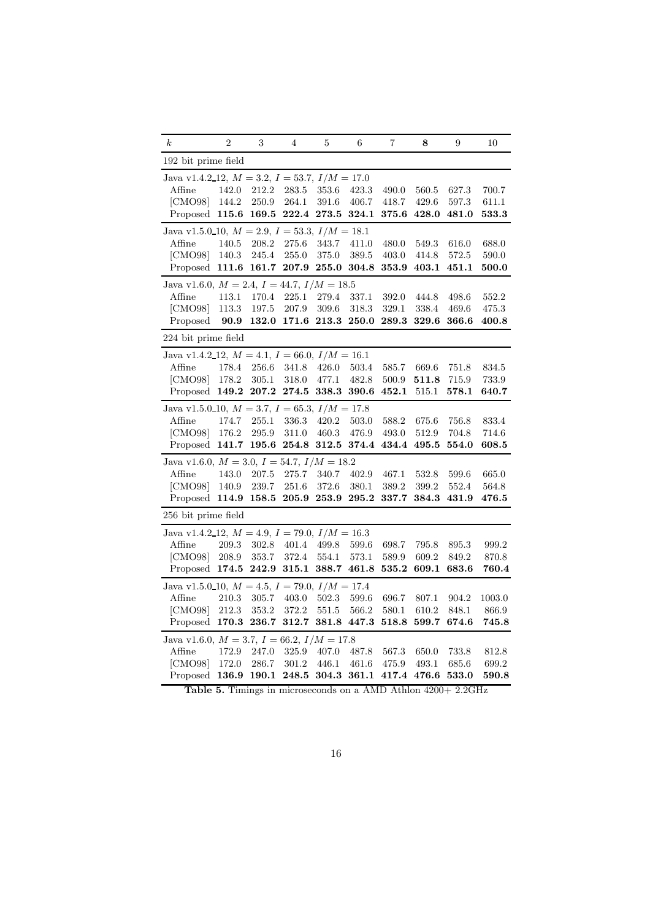| $\boldsymbol{k}$                                      | $\overline{2}$ | 3     | $\overline{4}$ | 5            | 6     | $\overline{7}$ | 8     | 9                    | 10            |
|-------------------------------------------------------|----------------|-------|----------------|--------------|-------|----------------|-------|----------------------|---------------|
| 192 bit prime field                                   |                |       |                |              |       |                |       |                      |               |
| Java v1.4.2_12, $M = 3.2$ , $I = 53.7$ , $I/M = 17.0$ |                |       |                |              |       |                |       |                      |               |
| Affine                                                | 142.0          | 212.2 | 283.5          | 353.6        | 423.3 | 490.0          | 560.5 | 627.3                | 700.7         |
| [CMO98]                                               | 144.2          | 250.9 | 264.1          | 391.6        | 406.7 | 418.7          | 429.6 | 597.3                | 611.1         |
| Proposed                                              | 115.6          | 169.5 | 222.4          | 273.5        | 324.1 | 375.6          | 428.0 | 481.0                | 533.3         |
| Java v1.5.0.10, $M = 2.9$ , $I = 53.3$ , $I/M = 18.1$ |                |       |                |              |       |                |       |                      |               |
| Affine                                                | 140.5          | 208.2 | 275.6          | 343.7        | 411.0 | 480.0          | 549.3 | 616.0                | 688.0         |
| [CMO98]                                               | 140.3          | 245.4 | 255.0          | 375.0        | 389.5 | 403.0          | 414.8 | 572.5                | 590.0         |
| Proposed                                              | 111.6          | 161.7 | 207.9          | 255.0        | 304.8 | 353.9          | 403.1 | 451.1                | 500.0         |
| Java v1.6.0, $M = 2.4$ , $I = 44.7$ , $I/M = 18.5$    |                |       |                |              |       |                |       |                      |               |
| Affine                                                | 113.1          | 170.4 | 225.1          | 279.4        | 337.1 | 392.0          | 444.8 | 498.6                | 552.2         |
| [CMO98]                                               | 113.3          | 197.5 | 207.9          | 309.6        | 318.3 | 329.1          | 338.4 | 469.6                | 475.3         |
| Proposed                                              | 90.9           | 132.0 | 171.6          | 213.3        | 250.0 | 289.3          | 329.6 | 366.6                | 400.8         |
| 224 bit prime field                                   |                |       |                |              |       |                |       |                      |               |
| Java v1.4.2.12, $M = 4.1$ , $I = 66.0$ , $I/M = 16.1$ |                |       |                |              |       |                |       |                      |               |
| Affine                                                | 178.4          | 256.6 | 341.8          | 426.0        | 503.4 | 585.7          | 669.6 | 751.8                | 834.5         |
| [CMO98]                                               | 178.2          | 305.1 | 318.0          | 477.1        | 482.8 | 500.9          | 511.8 | 715.9                | 733.9         |
| Proposed                                              | 149.2          | 207.2 | 274.5          | 338.3        | 390.6 | 452.1          | 515.1 | ${\bf 578.1}$        | 640.7         |
| Java v1.5.0_10, $M = 3.7$ , $I = 65.3$ , $I/M = 17.8$ |                |       |                |              |       |                |       |                      |               |
| Affine                                                | 174.7          | 255.1 | 336.3          | 420.2        | 503.0 | 588.2          | 675.6 | 756.8                | 833.4         |
| [CMO98]                                               | 176.2          | 295.9 | 311.0          | 460.3        | 476.9 | 493.0          | 512.9 | 704.8                | 714.6         |
| Proposed                                              | 141.7          | 195.6 | 254.8          | $\bf{312.5}$ | 374.4 | 434.4          | 495.5 | 554.0                | 608.5         |
| Java v1.6.0, $M = 3.0$ , $I = 54.7$ , $I/M = 18.2$    |                |       |                |              |       |                |       |                      |               |
| Affine                                                | 143.0          | 207.5 | 275.7          | 340.7        | 402.9 | 467.1          | 532.8 | 599.6                | 665.0         |
| [CMO98]                                               | 140.9          | 239.7 | 251.6          | 372.6        | 380.1 | 389.2          | 399.2 | 552.4                | 564.8         |
| Proposed                                              | 114.9          | 158.5 | 205.9          | 253.9        | 295.2 | 337.7          | 384.3 | 431.9                | 476.5         |
| 256 bit prime field                                   |                |       |                |              |       |                |       |                      |               |
| Java v1.4.2.12, $M = 4.9$ , $I = 79.0$ , $I/M = 16.3$ |                |       |                |              |       |                |       |                      |               |
| Affine                                                | 209.3          | 302.8 | 401.4          | 499.8        | 599.6 | 698.7          | 795.8 | 895.3                | 999.2         |
| [CMO98]                                               | 208.9          | 353.7 | 372.4          | 554.1        | 573.1 | 589.9          | 609.2 | 849.2                | 870.8         |
| Proposed                                              | 174.5          | 242.9 | 315.1          | 388.7        | 461.8 | 535.2          | 609.1 | 683.6                | 760.4         |
| Java v1.5.0_10, $M = 4.5$ , $I = 79.0$ , $I/M = 17.4$ |                |       |                |              |       |                |       |                      |               |
| Affine                                                | 210.3          | 305.7 | 403.0          | 502.3        | 599.6 | 696.7          | 807.1 | 904.2                | 1003.0        |
| [CMO98]                                               | 212.3          | 353.2 | 372.2          | 551.5        | 566.2 | 580.1          | 610.2 | 848.1                | 866.9         |
| Proposed                                              | 170.3          | 236.7 | 312.7          | 381.8        | 447.3 | 518.8          | 599.7 | 674.6                | 745.8         |
| Java v1.6.0, $M = 3.7$ , $I = 66.2$ , $I/M = 17.8$    |                |       |                |              |       |                |       |                      |               |
| Affine                                                | 172.9          | 247.0 | 325.9          | 407.0        | 487.8 | 567.3          | 650.0 | 733.8                | 812.8         |
| [CMO98]                                               | 172.0          | 286.7 | 301.2          | 446.1        | 461.6 | 475.9          | 493.1 | 685.6                | 699.2         |
| Proposed                                              | 136.9          | 190.1 | 248.5          | 304.3        | 361.1 | 417.4          | 476.6 | $\boldsymbol{533.0}$ | ${\bf 590.8}$ |
|                                                       |                |       |                |              |       |                |       |                      |               |

Table 5. Timings in microseconds on a AMD Athlon 4200+ 2.2GHz